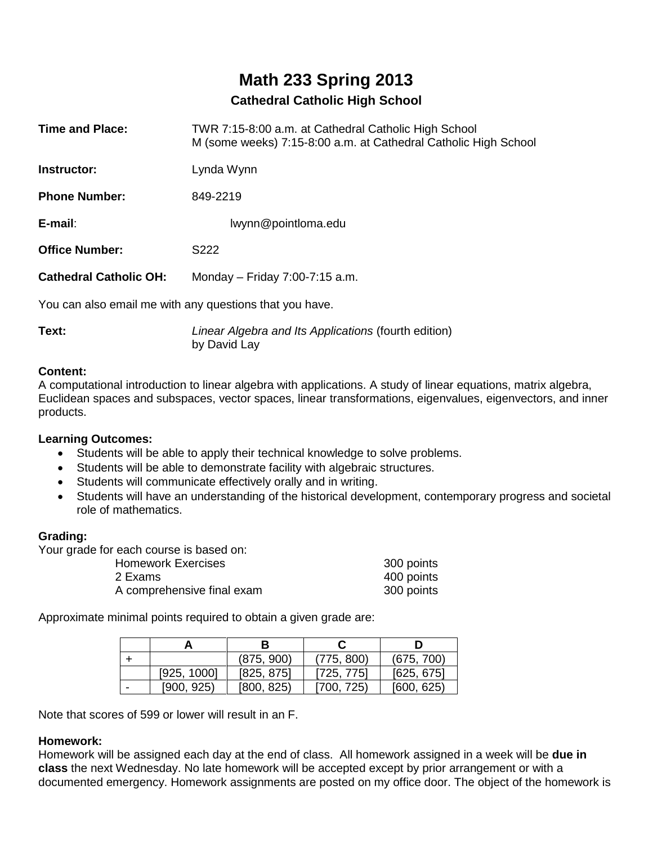# **Math 233 Spring 2013**

# **Cathedral Catholic High School**

| <b>Time and Place:</b>                                  | TWR 7:15-8:00 a.m. at Cathedral Catholic High School<br>M (some weeks) 7:15-8:00 a.m. at Cathedral Catholic High School |  |  |  |  |
|---------------------------------------------------------|-------------------------------------------------------------------------------------------------------------------------|--|--|--|--|
| Instructor:                                             | Lynda Wynn                                                                                                              |  |  |  |  |
| <b>Phone Number:</b>                                    | 849-2219                                                                                                                |  |  |  |  |
| $E$ -mail:                                              | lwynn@pointloma.edu                                                                                                     |  |  |  |  |
| <b>Office Number:</b>                                   | S <sub>222</sub>                                                                                                        |  |  |  |  |
| <b>Cathedral Catholic OH:</b>                           | Monday – Friday 7:00-7:15 a.m.                                                                                          |  |  |  |  |
| You can also email me with any questions that you have. |                                                                                                                         |  |  |  |  |

**Text:** *Linear Algebra and Its Applications* (fourth edition) by David Lay

#### **Content:**

A computational introduction to linear algebra with applications. A study of linear equations, matrix algebra, Euclidean spaces and subspaces, vector spaces, linear transformations, eigenvalues, eigenvectors, and inner products.

#### **Learning Outcomes:**

- Students will be able to apply their technical knowledge to solve problems.
- Students will be able to demonstrate facility with algebraic structures.
- Students will communicate effectively orally and in writing.
- Students will have an understanding of the historical development, contemporary progress and societal role of mathematics.

## **Grading:**

Your grade for each course is based on:

| <b>Homework Exercises</b>  | 300 points |
|----------------------------|------------|
| 2 Exams                    | 400 points |
| A comprehensive final exam | 300 points |

Approximate minimal points required to obtain a given grade are:

|             | (875, 900) | (775, 800) | (675, 700) |
|-------------|------------|------------|------------|
| [925, 1000] | [825, 875] | [725, 775] | [625, 675] |
| [900, 925]  | [800, 825] | [700, 725] | [600, 625] |

Note that scores of 599 or lower will result in an F.

#### **Homework:**

Homework will be assigned each day at the end of class. All homework assigned in a week will be **due in class** the next Wednesday. No late homework will be accepted except by prior arrangement or with a documented emergency. Homework assignments are posted on my office door. The object of the homework is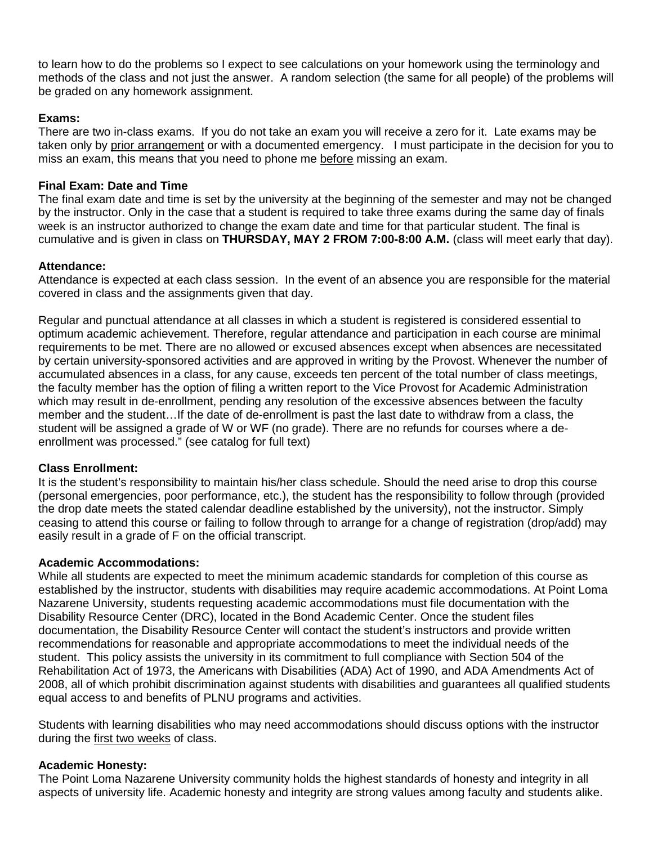to learn how to do the problems so I expect to see calculations on your homework using the terminology and methods of the class and not just the answer. A random selection (the same for all people) of the problems will be graded on any homework assignment.

#### **Exams:**

There are two in-class exams. If you do not take an exam you will receive a zero for it. Late exams may be taken only by prior arrangement or with a documented emergency. I must participate in the decision for you to miss an exam, this means that you need to phone me before missing an exam.

### **Final Exam: Date and Time**

The final exam date and time is set by the university at the beginning of the semester and may not be changed by the instructor. Only in the case that a student is required to take three exams during the same day of finals week is an instructor authorized to change the exam date and time for that particular student. The final is cumulative and is given in class on **THURSDAY, MAY 2 FROM 7:00-8:00 A.M.** (class will meet early that day).

#### **Attendance:**

Attendance is expected at each class session. In the event of an absence you are responsible for the material covered in class and the assignments given that day.

Regular and punctual attendance at all classes in which a student is registered is considered essential to optimum academic achievement. Therefore, regular attendance and participation in each course are minimal requirements to be met. There are no allowed or excused absences except when absences are necessitated by certain university-sponsored activities and are approved in writing by the Provost. Whenever the number of accumulated absences in a class, for any cause, exceeds ten percent of the total number of class meetings, the faculty member has the option of filing a written report to the Vice Provost for Academic Administration which may result in de-enrollment, pending any resolution of the excessive absences between the faculty member and the student…If the date of de-enrollment is past the last date to withdraw from a class, the student will be assigned a grade of W or WF (no grade). There are no refunds for courses where a deenrollment was processed." (see catalog for full text)

#### **Class Enrollment:**

It is the student's responsibility to maintain his/her class schedule. Should the need arise to drop this course (personal emergencies, poor performance, etc.), the student has the responsibility to follow through (provided the drop date meets the stated calendar deadline established by the university), not the instructor. Simply ceasing to attend this course or failing to follow through to arrange for a change of registration (drop/add) may easily result in a grade of F on the official transcript.

#### **Academic Accommodations:**

While all students are expected to meet the minimum academic standards for completion of this course as established by the instructor, students with disabilities may require academic accommodations. At Point Loma Nazarene University, students requesting academic accommodations must file documentation with the Disability Resource Center (DRC), located in the Bond Academic Center. Once the student files documentation, the Disability Resource Center will contact the student's instructors and provide written recommendations for reasonable and appropriate accommodations to meet the individual needs of the student. This policy assists the university in its commitment to full compliance with Section 504 of the Rehabilitation Act of 1973, the Americans with Disabilities (ADA) Act of 1990, and ADA Amendments Act of 2008, all of which prohibit discrimination against students with disabilities and guarantees all qualified students equal access to and benefits of PLNU programs and activities.

Students with learning disabilities who may need accommodations should discuss options with the instructor during the first two weeks of class.

#### **Academic Honesty:**

The Point Loma Nazarene University community holds the highest standards of honesty and integrity in all aspects of university life. Academic honesty and integrity are strong values among faculty and students alike.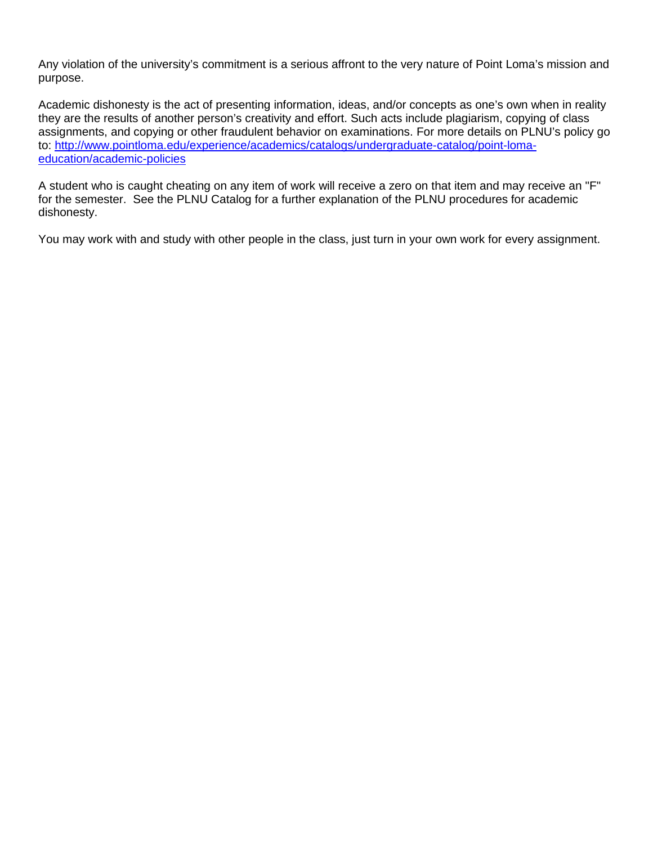Any violation of the university's commitment is a serious affront to the very nature of Point Loma's mission and purpose.

Academic dishonesty is the act of presenting information, ideas, and/or concepts as one's own when in reality they are the results of another person's creativity and effort. Such acts include plagiarism, copying of class assignments, and copying or other fraudulent behavior on examinations. For more details on PLNU's policy go to: [http://www.pointloma.edu/experience/academics/catalogs/undergraduate-catalog/point-loma](http://www.pointloma.edu/experience/academics/catalogs/undergraduate-catalog/point-loma-education/academic-policies)[education/academic-policies](http://www.pointloma.edu/experience/academics/catalogs/undergraduate-catalog/point-loma-education/academic-policies)

A student who is caught cheating on any item of work will receive a zero on that item and may receive an "F" for the semester. See the PLNU Catalog for a further explanation of the PLNU procedures for academic dishonesty.

You may work with and study with other people in the class, just turn in your own work for every assignment.